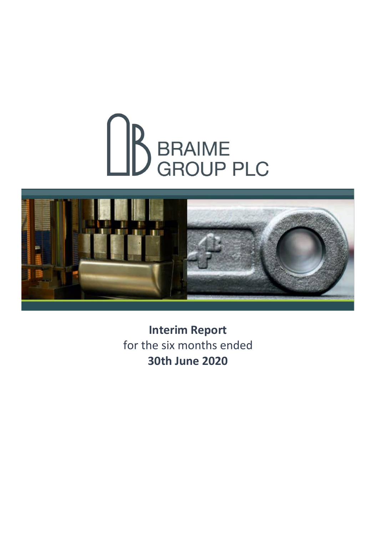# BRAIME<br>BRAIME



**Interim Report** for the six months ended **30th June 2020**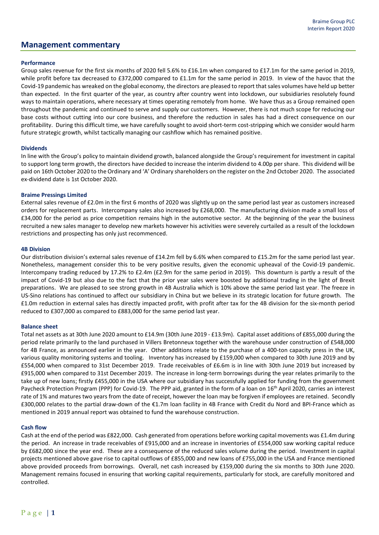## **Management commentary**

## **Performance**

Group sales revenue for the first six months of 2020 fell 5.6% to £16.1m when compared to £17.1m for the same period in 2019, while profit before tax decreased to £372,000 compared to £1.1m for the same period in 2019. In view of the havoc that the Covid-19 pandemic has wreaked on the global economy, the directors are pleased to report that sales volumes have held up better than expected. In the first quarter of the year, as country after country went into lockdown, our subsidiaries resolutely found ways to maintain operations, where necessary at times operating remotely from home. We have thus as a Group remained open throughout the pandemic and continued to serve and supply our customers. However, there is not much scope for reducing our base costs without cutting into our core business, and therefore the reduction in sales has had a direct consequence on our profitability. During this difficult time, we have carefully sought to avoid short-term cost-stripping which we consider would harm future strategic growth, whilst tactically managing our cashflow which has remained positive.

#### **Dividends**

In line with the Group's policy to maintain dividend growth, balanced alongside the Group's requirement for investment in capital to support long term growth, the directors have decided to increase the interim dividend to 4.00p per share. This dividend will be paid on 16th October 2020 to the Ordinary and 'A' Ordinary shareholders on the register on the 2nd October 2020. The associated ex-dividend date is 1st October 2020.

#### **Braime Pressings Limited**

External sales revenue of £2.0m in the first 6 months of 2020 was slightly up on the same period last year as customers increased orders for replacement parts. Intercompany sales also increased by £268,000. The manufacturing division made a small loss of £34,000 for the period as price competition remains high in the automotive sector. At the beginning of the year the business recruited a new sales manager to develop new markets however his activities were severely curtailed as a result of the lockdown restrictions and prospecting has only just recommenced.

#### **4B Division**

Our distribution division's external sales revenue of £14.2m fell by 6.6% when compared to £15.2m for the same period last year. Nonetheless, management consider this to be very positive results, given the economic upheaval of the Covid-19 pandemic. Intercompany trading reduced by 17.2% to £2.4m (£2.9m for the same period in 2019). This downturn is partly a result of the impact of Covid-19 but also due to the fact that the prior year sales were boosted by additional trading in the light of Brexit preparations. We are pleased to see strong growth in 4B Australia which is 10% above the same period last year. The freeze in US-Sino relations has continued to affect our subsidiary in China but we believe in its strategic location for future growth. The £1.0m reduction in external sales has directly impacted profit, with profit after tax for the 4B division for the six-month period reduced to £307,000 as compared to £883,000 for the same period last year.

#### **Balance sheet**

Total net assets as at 30th June 2020 amount to £14.9m (30th June 2019 - £13.9m). Capital asset additions of £855,000 during the period relate primarily to the land purchased in Villers Bretonneux together with the warehouse under construction of £548,000 for 4B France, as announced earlier in the year. Other additions relate to the purchase of a 400-ton capacity press in the UK, various quality monitoring systems and tooling. Inventory has increased by £159,000 when compared to 30th June 2019 and by £554,000 when compared to 31st December 2019. Trade receivables of £6.6m is in line with 30th June 2019 but increased by £915,000 when compared to 31st December 2019. The increase in long-term borrowings during the year relates primarily to the take up of new loans; firstly £455,000 in the USA where our subsidiary has successfully applied for funding from the government Paycheck Protection Program (PPP) for Covid-19. The PPP aid, granted in the form of a loan on 16<sup>th</sup> April 2020, carries an interest rate of 1% and matures two years from the date of receipt, however the loan may be forgiven if employees are retained. Secondly £300,000 relates to the partial draw-down of the €1.7m loan facility in 4B France with Credit du Nord and BPI-France which as mentioned in 2019 annual report was obtained to fund the warehouse construction.

## **Cash flow**

Cash at the end of the period was £822,000. Cash generated from operations before working capital movements was £1.4m during the period. An increase in trade receivables of £915,000 and an increase in inventories of £554,000 saw working capital reduce by £682,000 since the year end. These are a consequence of the reduced sales volume during the period. Investment in capital projects mentioned above gave rise to capital outflows of £855,000 and new loans of £755,000 in the USA and France mentioned above provided proceeds from borrowings. Overall, net cash increased by £159,000 during the six months to 30th June 2020. Management remains focused in ensuring that working capital requirements, particularly for stock, are carefully monitored and controlled.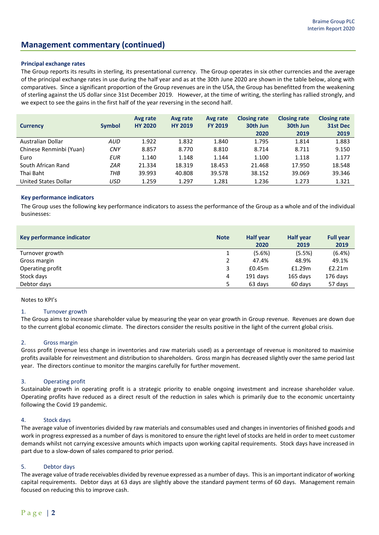## **Management commentary (continued)**

### **Principal exchange rates**

The Group reports its results in sterling, its presentational currency. The Group operates in six other currencies and the average of the principal exchange rates in use during the half year and as at the 30th June 2020 are shown in the table below, along with comparatives. Since a significant proportion of the Group revenues are in the USA, the Group has benefitted from the weakening of sterling against the US dollar since 31st December 2019. However, at the time of writing, the sterling has rallied strongly, and we expect to see the gains in the first half of the year reversing in the second half.

| <b>Currency</b>         | <b>Symbol</b> | Avg rate<br><b>HY 2020</b> | Avg rate<br><b>HY 2019</b> | Avg rate<br><b>FY 2019</b> | <b>Closing rate</b><br>30th Jun<br>2020 | <b>Closing rate</b><br>30th Jun<br>2019 | <b>Closing rate</b><br>31st Dec<br>2019 |
|-------------------------|---------------|----------------------------|----------------------------|----------------------------|-----------------------------------------|-----------------------------------------|-----------------------------------------|
| Australian Dollar       | AUD           | 1.922                      | 1.832                      | 1.840                      | 1.795                                   | 1.814                                   | 1.883                                   |
| Chinese Renminbi (Yuan) | <b>CNY</b>    | 8.857                      | 8.770                      | 8.810                      | 8.714                                   | 8.711                                   | 9.150                                   |
| Euro                    | <b>EUR</b>    | 1.140                      | 1.148                      | 1.144                      | 1.100                                   | 1.118                                   | 1.177                                   |
| South African Rand      | <b>ZAR</b>    | 21.334                     | 18.319                     | 18.453                     | 21.468                                  | 17.950                                  | 18.548                                  |
| Thai Baht               | ТНВ           | 39.993                     | 40.808                     | 39.578                     | 38.152                                  | 39.069                                  | 39.346                                  |
| United States Dollar    | <b>USD</b>    | 1.259                      | 1.297                      | 1.281                      | 1.236                                   | 1.273                                   | 1.321                                   |

#### **Key performance indicators**

The Group uses the following key performance indicators to assess the performance of the Group as a whole and of the individual businesses:

| Key performance indicator | <b>Note</b> | <b>Half year</b><br>2020 | <b>Half year</b><br>2019 | <b>Full year</b><br>2019 |
|---------------------------|-------------|--------------------------|--------------------------|--------------------------|
| Turnover growth           |             | (5.6%)                   | (5.5%)                   | $(6.4\%)$                |
| Gross margin              |             | 47.4%                    | 48.9%                    | 49.1%                    |
| Operating profit          | 3           | £0.45m                   | £1.29m                   | £2.21m                   |
| Stock days                | 4           | 191 days                 | $165$ days               | 176 days                 |
| Debtor days               |             | 63 days                  | 60 days                  | 57 days                  |

#### Notes to KPI's

#### 1. Turnover growth

The Group aims to increase shareholder value by measuring the year on year growth in Group revenue. Revenues are down due to the current global economic climate. The directors consider the results positive in the light of the current global crisis.

#### 2. Gross margin

Gross profit (revenue less change in inventories and raw materials used) as a percentage of revenue is monitored to maximise profits available for reinvestment and distribution to shareholders. Gross margin has decreased slightly over the same period last year. The directors continue to monitor the margins carefully for further movement.

## 3. Operating profit

Sustainable growth in operating profit is a strategic priority to enable ongoing investment and increase shareholder value. Operating profits have reduced as a direct result of the reduction in sales which is primarily due to the economic uncertainty following the Covid 19 pandemic.

#### 4. Stock days

The average value of inventories divided by raw materials and consumables used and changes in inventories of finished goods and work in progress expressed as a number of days is monitored to ensure the right level of stocks are held in order to meet customer demands whilst not carrying excessive amounts which impacts upon working capital requirements. Stock days have increased in part due to a slow-down of sales compared to prior period.

#### 5. Debtor days

The average value of trade receivables divided by revenue expressed as a number of days. This is an important indicator of working capital requirements. Debtor days at 63 days are slightly above the standard payment terms of 60 days. Management remain focused on reducing this to improve cash.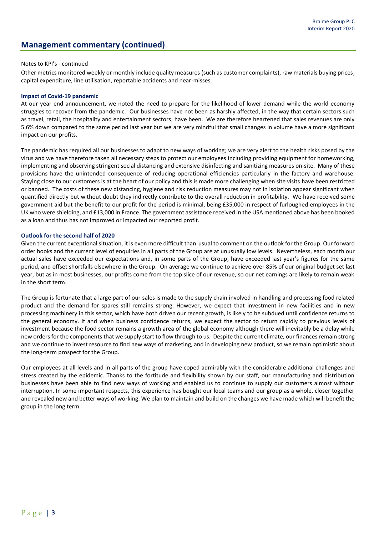## **Management commentary (continued)**

#### Notes to KPI's - continued

Other metrics monitored weekly or monthly include quality measures (such as customer complaints), raw materials buying prices, capital expenditure, line utilisation, reportable accidents and near-misses.

#### **Impact of Covid-19 pandemic**

At our year end announcement, we noted the need to prepare for the likelihood of lower demand while the world economy struggles to recover from the pandemic. Our businesses have not been as harshly affected, in the way that certain sectors such as travel, retail, the hospitality and entertainment sectors, have been. We are therefore heartened that sales revenues are only 5.6% down compared to the same period last year but we are very mindful that small changes in volume have a more significant impact on our profits.

The pandemic has required all our businesses to adapt to new ways of working; we are very alert to the health risks posed by the virus and we have therefore taken all necessary steps to protect our employees including providing equipment for homeworking, implementing and observing stringent social distancing and extensive disinfecting and sanitizing measures on-site. Many of these provisions have the unintended consequence of reducing operational efficiencies particularly in the factory and warehouse. Staying close to our customers is at the heart of our policy and this is made more challenging when site visits have been restricted or banned. The costs of these new distancing, hygiene and risk reduction measures may not in isolation appear significant when quantified directly but without doubt they indirectly contribute to the overall reduction in profitability. We have received some government aid but the benefit to our profit for the period is minimal, being £35,000 in respect of furloughed employees in the UK who were shielding, and £13,000 in France. The government assistance received in the USA mentioned above has been booked as a loan and thus has not improved or impacted our reported profit.

#### **Outlook for the second half of 2020**

Given the current exceptional situation, it is even more difficult than usual to comment on the outlook for the Group. Our forward order books and the current level of enquiries in all parts of the Group are at unusually low levels. Nevertheless, each month our actual sales have exceeded our expectations and, in some parts of the Group, have exceeded last year's figures for the same period, and offset shortfalls elsewhere in the Group. On average we continue to achieve over 85% of our original budget set last year, but as in most businesses, our profits come from the top slice of our revenue, so our net earnings are likely to remain weak in the short term.

The Group is fortunate that a large part of our sales is made to the supply chain involved in handling and processing food related product and the demand for spares still remains strong. However, we expect that investment in new facilities and in new processing machinery in this sector, which have both driven our recent growth, is likely to be subdued until confidence returns to the general economy. If and when business confidence returns, we expect the sector to return rapidly to previous levels of investment because the food sector remains a growth area of the global economy although there will inevitably be a delay while new orders for the components that we supply start to flow through to us. Despite the current climate, our finances remain strong and we continue to invest resource to find new ways of marketing, and in developing new product, so we remain optimistic about the long-term prospect for the Group.

Our employees at all levels and in all parts of the group have coped admirably with the considerable additional challenges and stress created by the epidemic. Thanks to the fortitude and flexibility shown by our staff, our manufacturing and distribution businesses have been able to find new ways of working and enabled us to continue to supply our customers almost without interruption. In some important respects, this experience has bought our local teams and our group as a whole, closer together and revealed new and better ways of working. We plan to maintain and build on the changes we have made which will benefit the group in the long term.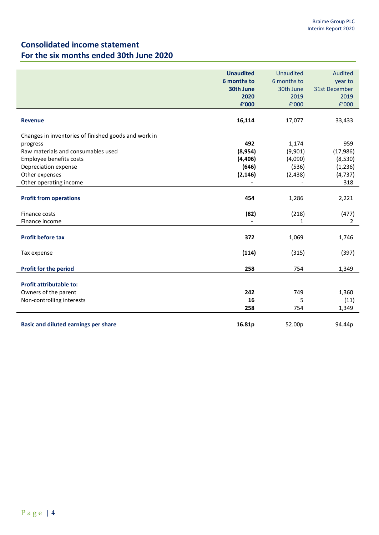## **Consolidated income statement For the six months ended 30th June 2020**

|                                                      | <b>Unaudited</b><br>6 months to<br><b>30th June</b><br>2020<br>£'000 | <b>Unaudited</b><br>6 months to<br>30th June<br>2019<br>f'000 | <b>Audited</b><br>year to<br><b>31st December</b><br>2019<br>f'000 |
|------------------------------------------------------|----------------------------------------------------------------------|---------------------------------------------------------------|--------------------------------------------------------------------|
| <b>Revenue</b>                                       | 16,114                                                               | 17,077                                                        | 33,433                                                             |
| Changes in inventories of finished goods and work in |                                                                      |                                                               |                                                                    |
| progress                                             | 492                                                                  | 1,174                                                         | 959                                                                |
| Raw materials and consumables used                   | (8,954)                                                              | (9,901)                                                       | (17, 986)                                                          |
| Employee benefits costs                              | (4,406)                                                              | (4,090)                                                       | (8,530)                                                            |
| Depreciation expense                                 | (646)                                                                | (536)                                                         | (1, 236)                                                           |
| Other expenses                                       | (2, 146)                                                             | (2, 438)                                                      | (4, 737)                                                           |
| Other operating income                               |                                                                      |                                                               | 318                                                                |
| <b>Profit from operations</b>                        | 454                                                                  | 1,286                                                         | 2,221                                                              |
| Finance costs                                        | (82)                                                                 | (218)                                                         | (477)                                                              |
| Finance income                                       |                                                                      | 1                                                             | $\overline{2}$                                                     |
| <b>Profit before tax</b>                             | 372                                                                  | 1,069                                                         | 1,746                                                              |
| Tax expense                                          | (114)                                                                | (315)                                                         | (397)                                                              |
| <b>Profit for the period</b>                         | 258                                                                  | 754                                                           | 1,349                                                              |
| <b>Profit attributable to:</b>                       |                                                                      |                                                               |                                                                    |
| Owners of the parent                                 | 242                                                                  | 749                                                           | 1,360                                                              |
| Non-controlling interests                            | 16                                                                   | 5                                                             | (11)                                                               |
|                                                      | 258                                                                  | 754                                                           | 1,349                                                              |
| <b>Basic and diluted earnings per share</b>          | 16.81p                                                               | 52.00p                                                        | 94.44p                                                             |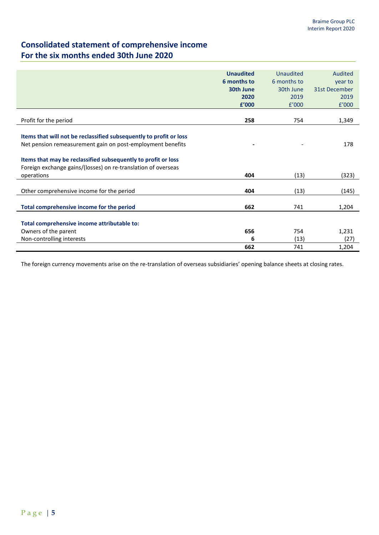# **Consolidated statement of comprehensive income For the six months ended 30th June 2020**

|                                                                    | <b>Unaudited</b> | Unaudited   | Audited       |
|--------------------------------------------------------------------|------------------|-------------|---------------|
|                                                                    | 6 months to      | 6 months to | year to       |
|                                                                    | 30th June        | 30th June   | 31st December |
|                                                                    | 2020             | 2019        | 2019          |
|                                                                    | £'000            | f'000       | f'000         |
|                                                                    |                  |             |               |
| Profit for the period                                              | 258              | 754         | 1,349         |
|                                                                    |                  |             |               |
| Items that will not be reclassified subsequently to profit or loss |                  |             |               |
| Net pension remeasurement gain on post-employment benefits         |                  |             | 178           |
|                                                                    |                  |             |               |
| Items that may be reclassified subsequently to profit or loss      |                  |             |               |
| Foreign exchange gains/(losses) on re-translation of overseas      |                  |             |               |
| operations                                                         | 404              | (13)        | (323)         |
|                                                                    |                  |             |               |
| Other comprehensive income for the period                          | 404              | (13)        | (145)         |
|                                                                    |                  |             |               |
| Total comprehensive income for the period                          | 662              | 741         | 1,204         |
|                                                                    |                  |             |               |
| Total comprehensive income attributable to:                        |                  |             |               |
| Owners of the parent                                               | 656              | 754         | 1,231         |
| Non-controlling interests                                          | 6                | (13)        | (27)          |
|                                                                    | 662              | 741         | 1,204         |

The foreign currency movements arise on the re-translation of overseas subsidiaries' opening balance sheets at closing rates.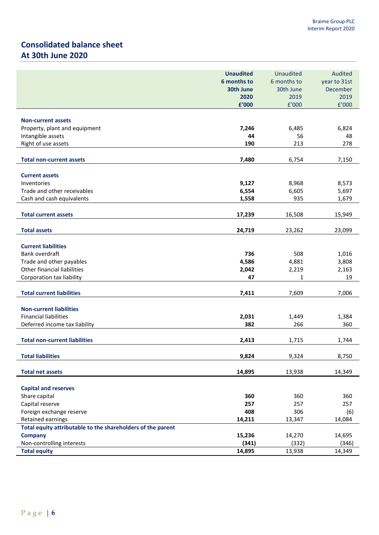# **Consolidated balance sheet At 30th June 2020**

|                                                             | <b>Unaudited</b> | <b>Unaudited</b> | Audited      |
|-------------------------------------------------------------|------------------|------------------|--------------|
|                                                             | 6 months to      | 6 months to      | year to 31st |
|                                                             | 30th June        | 30th June        | December     |
|                                                             | 2020             | 2019             | 2019         |
|                                                             | £'000            | f'000            | f'000        |
|                                                             |                  |                  |              |
| <b>Non-current assets</b>                                   |                  |                  |              |
| Property, plant and equipment                               | 7,246            | 6,485            | 6,824        |
| Intangible assets                                           | 44               | 56               | 48           |
| Right of use assets                                         | 190              | 213              | 278          |
|                                                             |                  |                  |              |
| <b>Total non-current assets</b>                             | 7,480            | 6,754            | 7,150        |
|                                                             |                  |                  |              |
| <b>Current assets</b><br>Inventories                        | 9,127            | 8,968            | 8,573        |
| Trade and other receivables                                 | 6,554            | 6,605            | 5,697        |
| Cash and cash equivalents                                   |                  | 935              |              |
|                                                             | 1,558            |                  | 1,679        |
| <b>Total current assets</b>                                 | 17,239           | 16,508           | 15,949       |
|                                                             |                  |                  |              |
| <b>Total assets</b>                                         | 24,719           | 23,262           | 23,099       |
|                                                             |                  |                  |              |
| <b>Current liabilities</b>                                  |                  |                  |              |
| Bank overdraft                                              | 736              | 508              | 1,016        |
| Trade and other payables                                    | 4,586            | 4,881            | 3,808        |
| Other financial liabilities                                 | 2,042            | 2,219            | 2,163        |
| Corporation tax liability                                   | 47               | 1                | 19           |
|                                                             |                  |                  |              |
| <b>Total current liabilities</b>                            | 7,411            | 7,609            | 7,006        |
|                                                             |                  |                  |              |
| <b>Non-current liabilities</b>                              |                  |                  |              |
| <b>Financial liabilities</b>                                | 2,031            | 1,449            | 1,384        |
| Deferred income tax liability                               | 382              | 266              | 360          |
|                                                             |                  |                  |              |
| <b>Total non-current liabilities</b>                        | 2,413            | 1,715            | 1,744        |
| <b>Total liabilities</b>                                    | 9,824            |                  | 8,750        |
|                                                             |                  | 9,324            |              |
| <b>Total net assets</b>                                     | 14,895           | 13,938           | 14,349       |
|                                                             |                  |                  |              |
| <b>Capital and reserves</b>                                 |                  |                  |              |
| Share capital                                               | 360              | 360              | 360          |
| Capital reserve                                             | 257              | 257              | 257          |
| Foreign exchange reserve                                    | 408              | 306              | (6)          |
| Retained earnings                                           | 14,211           | 13,347           | 14,084       |
| Total equity attributable to the shareholders of the parent |                  |                  |              |
| <b>Company</b>                                              | 15,236           | 14,270           | 14,695       |
| Non-controlling interests                                   | (341)            | (332)            | (346)        |
| <b>Total equity</b>                                         | 14,895           | 13,938           | 14,349       |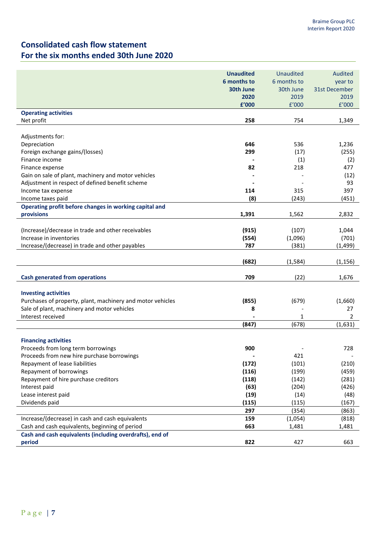# **Consolidated cash flow statement For the six months ended 30th June 2020**

|                                                            | <b>Unaudited</b> | <b>Unaudited</b> | Audited       |
|------------------------------------------------------------|------------------|------------------|---------------|
|                                                            | 6 months to      | 6 months to      | year to       |
|                                                            | 30th June        | 30th June        | 31st December |
|                                                            | 2020             | 2019             | 2019          |
|                                                            | £'000            | f'000            | f'000         |
| <b>Operating activities</b>                                |                  |                  |               |
| Net profit                                                 | 258              | 754              | 1,349         |
|                                                            |                  |                  |               |
| Adjustments for:                                           |                  |                  |               |
| Depreciation                                               | 646              | 536              | 1,236         |
| Foreign exchange gains/(losses)                            | 299              | (17)             | (255)         |
| Finance income                                             |                  | (1)              | (2)           |
| Finance expense                                            | 82               | 218              | 477           |
| Gain on sale of plant, machinery and motor vehicles        |                  |                  | (12)          |
| Adjustment in respect of defined benefit scheme            |                  |                  | 93            |
| Income tax expense                                         | 114              | 315              | 397           |
| Income taxes paid                                          | (8)              | (243)            | (451)         |
| Operating profit before changes in working capital and     |                  |                  |               |
| provisions                                                 | 1,391            | 1,562            | 2,832         |
|                                                            |                  |                  |               |
| (Increase)/decrease in trade and other receivables         | (915)            | (107)            | 1,044         |
| Increase in inventories                                    | (554)            | (1,096)          | (701)         |
| Increase/(decrease) in trade and other payables            | 787              | (381)            | (1, 499)      |
|                                                            |                  |                  |               |
|                                                            | (682)            | (1, 584)         | (1, 156)      |
| <b>Cash generated from operations</b>                      | 709              | (22)             | 1,676         |
|                                                            |                  |                  |               |
| <b>Investing activities</b>                                |                  |                  |               |
| Purchases of property, plant, machinery and motor vehicles | (855)            | (679)            | (1,660)       |
| Sale of plant, machinery and motor vehicles                | 8                |                  | 27            |
| Interest received                                          |                  | 1                | 2             |
|                                                            | (847)            | (678)            | (1,631)       |
|                                                            |                  |                  |               |
| <b>Financing activities</b>                                |                  |                  |               |
| Proceeds from long term borrowings                         | 900              |                  | 728           |
| Proceeds from new hire purchase borrowings                 |                  | 421              |               |
| Repayment of lease liabilities                             | (172)            | (101)            | (210)         |
| Repayment of borrowings                                    | (116)            | (199)            | (459)         |
| Repayment of hire purchase creditors                       | (118)            | (142)            | (281)         |
| Interest paid                                              | (63)             | (204)            | (426)         |
| Lease interest paid                                        | (19)             | (14)             | (48)          |
| Dividends paid                                             | (115)            | (115)            | (167)         |
|                                                            | 297              | (354)            | (863)         |
| Increase/(decrease) in cash and cash equivalents           | 159              | (1,054)          | (818)         |
| Cash and cash equivalents, beginning of period             | 663              | 1,481            | 1,481         |
| Cash and cash equivalents (including overdrafts), end of   |                  |                  |               |
| period                                                     | 822              | 427              | 663           |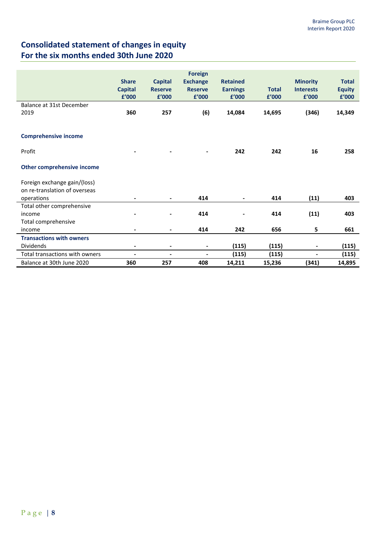# **Consolidated statement of changes in equity For the six months ended 30th June 2020**

|                                 | <b>Share</b><br><b>Capital</b><br>£'000 | <b>Capital</b><br><b>Reserve</b><br>£'000 | <b>Foreign</b><br><b>Exchange</b><br><b>Reserve</b><br>£'000 | <b>Retained</b><br><b>Earnings</b><br>£'000 | <b>Total</b><br>£'000 | <b>Minority</b><br><b>Interests</b><br>£'000 | <b>Total</b><br><b>Equity</b><br>£'000 |
|---------------------------------|-----------------------------------------|-------------------------------------------|--------------------------------------------------------------|---------------------------------------------|-----------------------|----------------------------------------------|----------------------------------------|
| Balance at 31st December        |                                         |                                           |                                                              |                                             |                       |                                              |                                        |
| 2019                            | 360                                     | 257                                       |                                                              |                                             |                       |                                              |                                        |
|                                 |                                         |                                           | (6)                                                          | 14,084                                      | 14,695                | (346)                                        | 14,349                                 |
|                                 |                                         |                                           |                                                              |                                             |                       |                                              |                                        |
| <b>Comprehensive income</b>     |                                         |                                           |                                                              |                                             |                       |                                              |                                        |
| Profit                          |                                         |                                           | $\overline{a}$                                               | 242                                         | 242                   | 16                                           | 258                                    |
| Other comprehensive income      |                                         |                                           |                                                              |                                             |                       |                                              |                                        |
| Foreign exchange gain/(loss)    |                                         |                                           |                                                              |                                             |                       |                                              |                                        |
| on re-translation of overseas   |                                         |                                           |                                                              |                                             |                       |                                              |                                        |
| operations                      | $\blacksquare$                          | $\blacksquare$                            | 414                                                          | $\blacksquare$                              | 414                   | (11)                                         | 403                                    |
| Total other comprehensive       |                                         |                                           |                                                              |                                             |                       |                                              |                                        |
| income                          |                                         | -                                         | 414                                                          | -                                           | 414                   | (11)                                         | 403                                    |
| Total comprehensive             |                                         |                                           |                                                              |                                             |                       |                                              |                                        |
| income                          |                                         | -                                         | 414                                                          | 242                                         | 656                   | 5                                            | 661                                    |
| <b>Transactions with owners</b> |                                         |                                           |                                                              |                                             |                       |                                              |                                        |
| <b>Dividends</b>                | $\blacksquare$                          | $\blacksquare$                            | $\blacksquare$                                               | (115)                                       | (115)                 | $\blacksquare$                               | (115)                                  |
| Total transactions with owners  | $\blacksquare$                          | $\blacksquare$                            | $\overline{a}$                                               | (115)                                       | (115)                 | $\blacksquare$                               | (115)                                  |
| Balance at 30th June 2020       | 360                                     | 257                                       | 408                                                          | 14,211                                      | 15,236                | (341)                                        | 14,895                                 |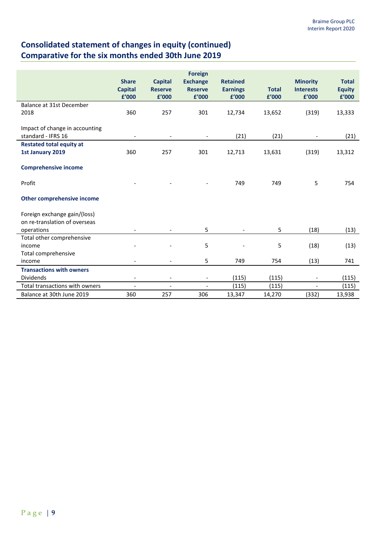# **Consolidated statement of changes in equity (continued) Comparative for the six months ended 30th June 2019**

|                                                      | <b>Share</b><br><b>Capital</b><br>£'000 | <b>Capital</b><br><b>Reserve</b><br>£'000 | <b>Foreign</b><br><b>Exchange</b><br><b>Reserve</b><br>£'000 | <b>Retained</b><br><b>Earnings</b><br>£'000 | <b>Total</b><br>£'000 | <b>Minority</b><br><b>Interests</b><br>£'000 | <b>Total</b><br><b>Equity</b><br>£'000 |
|------------------------------------------------------|-----------------------------------------|-------------------------------------------|--------------------------------------------------------------|---------------------------------------------|-----------------------|----------------------------------------------|----------------------------------------|
| Balance at 31st December                             |                                         |                                           |                                                              |                                             |                       |                                              |                                        |
| 2018                                                 | 360                                     | 257                                       | 301                                                          | 12,734                                      | 13,652                | (319)                                        | 13,333                                 |
| Impact of change in accounting<br>standard - IFRS 16 |                                         |                                           | $\overline{\phantom{a}}$                                     | (21)                                        | (21)                  | $\overline{a}$                               | (21)                                   |
| <b>Restated total equity at</b>                      |                                         |                                           |                                                              |                                             |                       |                                              |                                        |
| 1st January 2019                                     | 360                                     | 257                                       | 301                                                          | 12,713                                      | 13,631                | (319)                                        | 13,312                                 |
| <b>Comprehensive income</b><br>Profit                |                                         |                                           |                                                              | 749                                         | 749                   | 5                                            | 754                                    |
| Other comprehensive income                           |                                         |                                           |                                                              |                                             |                       |                                              |                                        |
| Foreign exchange gain/(loss)                         |                                         |                                           |                                                              |                                             |                       |                                              |                                        |
| on re-translation of overseas                        |                                         |                                           |                                                              |                                             |                       |                                              |                                        |
| operations                                           |                                         |                                           | 5                                                            | $\overline{a}$                              | 5                     | (18)                                         | (13)                                   |
| Total other comprehensive                            |                                         |                                           |                                                              |                                             |                       |                                              |                                        |
| income                                               |                                         |                                           | 5                                                            |                                             | 5                     | (18)                                         | (13)                                   |
| Total comprehensive                                  |                                         |                                           |                                                              |                                             |                       |                                              |                                        |
| income                                               |                                         |                                           | 5                                                            | 749                                         | 754                   | (13)                                         | 741                                    |
| <b>Transactions with owners</b>                      |                                         |                                           |                                                              |                                             |                       |                                              |                                        |
| <b>Dividends</b>                                     | $\overline{\phantom{a}}$                | $\overline{\phantom{a}}$                  | $\overline{\phantom{a}}$                                     | (115)                                       | (115)                 | $\overline{\phantom{a}}$                     | (115)                                  |
| Total transactions with owners                       | $\overline{a}$                          | $\overline{a}$                            |                                                              | (115)                                       | (115)                 |                                              | (115)                                  |
| Balance at 30th June 2019                            | 360                                     | 257                                       | 306                                                          | 13,347                                      | 14,270                | (332)                                        | 13,938                                 |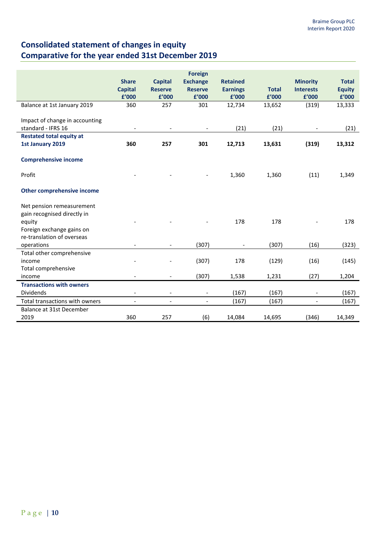# **Consolidated statement of changes in equity Comparative for the year ended 31st December 2019**

|                                                          | <b>Share</b><br><b>Capital</b><br>£'000 | <b>Capital</b><br><b>Reserve</b><br>£'000 | <b>Foreign</b><br><b>Exchange</b><br><b>Reserve</b><br>£'000 | <b>Retained</b><br><b>Earnings</b><br>£'000 | <b>Total</b><br>£'000 | <b>Minority</b><br><b>Interests</b><br>£'000 | <b>Total</b><br><b>Equity</b><br>£'000 |
|----------------------------------------------------------|-----------------------------------------|-------------------------------------------|--------------------------------------------------------------|---------------------------------------------|-----------------------|----------------------------------------------|----------------------------------------|
| Balance at 1st January 2019                              | 360                                     | 257                                       | 301                                                          | 12,734                                      | 13,652                | (319)                                        | 13,333                                 |
| Impact of change in accounting<br>standard - IFRS 16     |                                         |                                           | $\overline{\phantom{a}}$                                     | (21)                                        | (21)                  |                                              | (21)                                   |
| <b>Restated total equity at</b>                          |                                         |                                           |                                                              |                                             |                       |                                              |                                        |
| 1st January 2019                                         | 360                                     | 257                                       | 301                                                          | 12,713                                      | 13,631                | (319)                                        | 13,312                                 |
| <b>Comprehensive income</b>                              |                                         |                                           |                                                              |                                             |                       |                                              |                                        |
| Profit                                                   |                                         |                                           |                                                              | 1,360                                       | 1,360                 | (11)                                         | 1,349                                  |
| <b>Other comprehensive income</b>                        |                                         |                                           |                                                              |                                             |                       |                                              |                                        |
| Net pension remeasurement<br>gain recognised directly in |                                         |                                           |                                                              |                                             |                       |                                              |                                        |
| equity                                                   |                                         |                                           |                                                              | 178                                         | 178                   |                                              | 178                                    |
| Foreign exchange gains on                                |                                         |                                           |                                                              |                                             |                       |                                              |                                        |
| re-translation of overseas                               |                                         |                                           |                                                              |                                             |                       |                                              |                                        |
| operations<br>Total other comprehensive                  | $\overline{\phantom{a}}$                | $\overline{\phantom{a}}$                  | (307)                                                        | $\overline{\phantom{a}}$                    | (307)                 | (16)                                         | (323)                                  |
| income                                                   |                                         |                                           | (307)                                                        | 178                                         | (129)                 | (16)                                         | (145)                                  |
| Total comprehensive                                      |                                         |                                           |                                                              |                                             |                       |                                              |                                        |
| income                                                   |                                         | $\overline{\phantom{a}}$                  | (307)                                                        | 1,538                                       | 1,231                 | (27)                                         | 1,204                                  |
| <b>Transactions with owners</b>                          |                                         |                                           |                                                              |                                             |                       |                                              |                                        |
| <b>Dividends</b>                                         | $\qquad \qquad \blacksquare$            | $\overline{\phantom{a}}$                  | $\overline{\phantom{a}}$                                     | (167)                                       | (167)                 | $\overline{\phantom{a}}$                     | (167)                                  |
| Total transactions with owners                           | $\overline{\phantom{a}}$                | $\blacksquare$                            | $\blacksquare$                                               | (167)                                       | (167)                 | $\blacksquare$                               | (167)                                  |
| Balance at 31st December                                 |                                         |                                           |                                                              |                                             |                       |                                              |                                        |
| 2019                                                     | 360                                     | 257                                       | (6)                                                          | 14,084                                      | 14,695                | (346)                                        | 14,349                                 |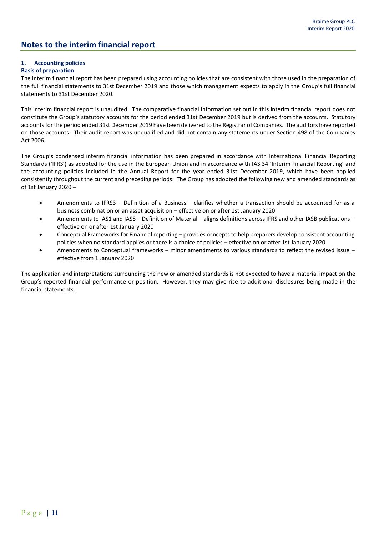## **Notes to the interim financial report**

## **1. Accounting policies**

## **Basis of preparation**

The interim financial report has been prepared using accounting policies that are consistent with those used in the preparation of the full financial statements to 31st December 2019 and those which management expects to apply in the Group's full financial statements to 31st December 2020.

This interim financial report is unaudited. The comparative financial information set out in this interim financial report does not constitute the Group's statutory accounts for the period ended 31st December 2019 but is derived from the accounts. Statutory accounts for the period ended 31st December 2019 have been delivered to the Registrar of Companies. The auditors have reported on those accounts. Their audit report was unqualified and did not contain any statements under Section 498 of the Companies Act 2006.

The Group's condensed interim financial information has been prepared in accordance with International Financial Reporting Standards ('IFRS') as adopted for the use in the European Union and in accordance with IAS 34 'Interim Financial Reporting' and the accounting policies included in the Annual Report for the year ended 31st December 2019, which have been applied consistently throughout the current and preceding periods. The Group has adopted the following new and amended standards as of 1st January 2020 –

- Amendments to IFRS3 Definition of a Business clarifies whether a transaction should be accounted for as a business combination or an asset acquisition – effective on or after 1st January 2020
- Amendments to IAS1 and IAS8 Definition of Material aligns definitions across IFRS and other IASB publications effective on or after 1st January 2020
- Conceptual Frameworks for Financial reporting provides concepts to help preparers develop consistent accounting policies when no standard applies or there is a choice of policies – effective on or after 1st January 2020
- Amendments to Conceptual frameworks minor amendments to various standards to reflect the revised issue effective from 1 January 2020

The application and interpretations surrounding the new or amended standards is not expected to have a material impact on the Group's reported financial performance or position. However, they may give rise to additional disclosures being made in the financial statements.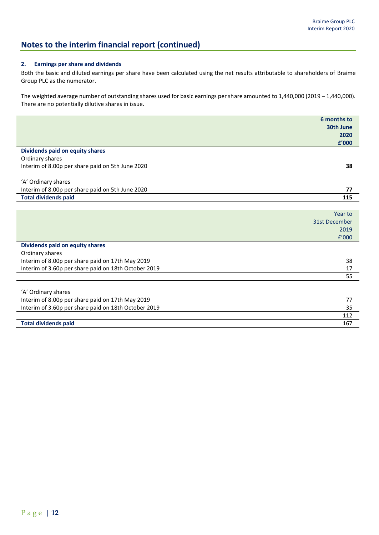112

## **Notes to the interim financial report (continued)**

## **2. Earnings per share and dividends**

Both the basic and diluted earnings per share have been calculated using the net results attributable to shareholders of Braime Group PLC as the numerator.

The weighted average number of outstanding shares used for basic earnings per share amounted to 1,440,000 (2019 – 1,440,000). There are no potentially dilutive shares in issue.

|                                                      | 6 months to   |
|------------------------------------------------------|---------------|
|                                                      | 30th June     |
|                                                      | 2020          |
|                                                      | £'000         |
| Dividends paid on equity shares                      |               |
| Ordinary shares                                      |               |
| Interim of 8.00p per share paid on 5th June 2020     | 38            |
|                                                      |               |
| 'A' Ordinary shares                                  |               |
| Interim of 8.00p per share paid on 5th June 2020     | 77            |
| <b>Total dividends paid</b>                          | 115           |
|                                                      |               |
|                                                      | Year to       |
|                                                      | 31st December |
|                                                      | 2019          |
|                                                      | f'000         |
| Dividends paid on equity shares                      |               |
| Ordinary shares                                      |               |
| Interim of 8.00p per share paid on 17th May 2019     | 38            |
| Interim of 3.60p per share paid on 18th October 2019 | 17            |
|                                                      | 55            |
|                                                      |               |
| 'A' Ordinary shares                                  |               |
| Interim of 8.00p per share paid on 17th May 2019     | 77            |
| Interim of 3.60p per share paid on 18th October 2019 | 35            |

**Total dividends paid** 167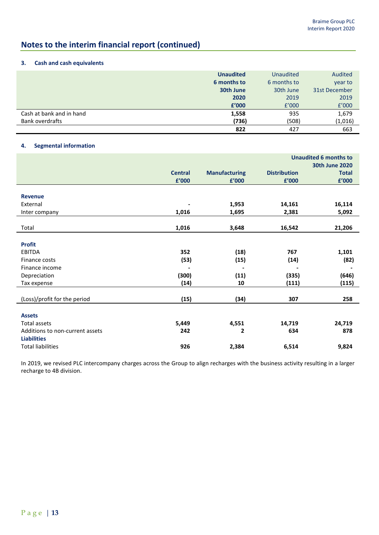# **Notes to the interim financial report (continued)**

## **3. Cash and cash equivalents**

|                          | <b>Unaudited</b> | <b>Unaudited</b> | Audited       |
|--------------------------|------------------|------------------|---------------|
|                          | 6 months to      | 6 months to      | year to       |
|                          | 30th June        | 30th June        | 31st December |
|                          | 2020             | 2019             | 2019          |
|                          | £'000            | f'000            | f'000         |
| Cash at bank and in hand | 1,558            | 935              | 1,679         |
| <b>Bank overdrafts</b>   | (736)            | (508)            | (1,016)       |
|                          | 822              | 427              | 663           |

## **4. Segmental information**

|                                 |                |                      | <b>Unaudited 6 months to</b> |                       |  |  |
|---------------------------------|----------------|----------------------|------------------------------|-----------------------|--|--|
|                                 |                |                      |                              | <b>30th June 2020</b> |  |  |
|                                 | <b>Central</b> | <b>Manufacturing</b> | <b>Distribution</b>          | <b>Total</b>          |  |  |
|                                 | £'000          | £'000                | £'000                        | £'000                 |  |  |
|                                 |                |                      |                              |                       |  |  |
| <b>Revenue</b>                  |                |                      |                              |                       |  |  |
| External                        |                | 1,953                | 14,161                       | 16,114                |  |  |
| Inter company                   | 1,016          | 1,695                | 2,381                        | 5,092                 |  |  |
|                                 |                |                      |                              |                       |  |  |
| Total                           | 1,016          | 3,648                | 16,542                       | 21,206                |  |  |
|                                 |                |                      |                              |                       |  |  |
| <b>Profit</b>                   |                |                      |                              |                       |  |  |
| EBITDA                          | 352            | (18)                 | 767                          | 1,101                 |  |  |
| Finance costs                   | (53)           | (15)                 | (14)                         | (82)                  |  |  |
| Finance income                  |                |                      |                              |                       |  |  |
| Depreciation                    | (300)          | (11)                 | (335)                        | (646)                 |  |  |
| Tax expense                     | (14)           | 10                   | (111)                        | (115)                 |  |  |
|                                 |                |                      |                              |                       |  |  |
| (Loss)/profit for the period    | (15)           | (34)                 | 307                          | 258                   |  |  |
|                                 |                |                      |                              |                       |  |  |
| <b>Assets</b>                   |                |                      |                              |                       |  |  |
| <b>Total assets</b>             | 5,449          | 4,551                | 14,719                       | 24,719                |  |  |
| Additions to non-current assets | 242            | 2                    | 634                          | 878                   |  |  |
| <b>Liabilities</b>              |                |                      |                              |                       |  |  |
| <b>Total liabilities</b>        | 926            | 2,384                | 6,514                        | 9,824                 |  |  |

In 2019, we revised PLC intercompany charges across the Group to align recharges with the business activity resulting in a larger recharge to 4B division.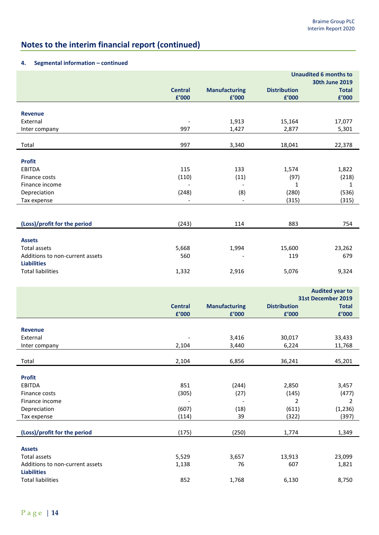# **Notes to the interim financial report (continued)**

## **4. Segmental information – continued**

|                                 |                              |                               | <b>Unaudited 6 months to</b><br><b>30th June 2019</b> |                       |  |
|---------------------------------|------------------------------|-------------------------------|-------------------------------------------------------|-----------------------|--|
|                                 | <b>Central</b><br>£'000      | <b>Manufacturing</b><br>£'000 | <b>Distribution</b><br>£'000                          | <b>Total</b><br>£'000 |  |
|                                 |                              |                               |                                                       |                       |  |
| <b>Revenue</b><br>External      |                              | 1,913                         | 15,164                                                | 17,077                |  |
| Inter company                   | 997                          | 1,427                         | 2,877                                                 | 5,301                 |  |
|                                 |                              |                               |                                                       |                       |  |
| Total                           | 997                          | 3,340                         | 18,041                                                | 22,378                |  |
|                                 |                              |                               |                                                       |                       |  |
| <b>Profit</b>                   |                              |                               |                                                       |                       |  |
| <b>EBITDA</b><br>Finance costs  | 115<br>(110)                 | 133<br>(11)                   | 1,574<br>(97)                                         | 1,822<br>(218)        |  |
| Finance income                  | $\overline{\phantom{a}}$     | $\overline{\phantom{a}}$      | $\mathbf{1}$                                          | $\mathbf{1}$          |  |
| Depreciation                    | (248)                        | (8)                           | (280)                                                 | (536)                 |  |
| Tax expense                     | $\overline{\phantom{a}}$     | $\overline{\phantom{a}}$      | (315)                                                 | (315)                 |  |
|                                 |                              |                               |                                                       |                       |  |
|                                 |                              |                               |                                                       |                       |  |
| (Loss)/profit for the period    | (243)                        | 114                           | 883                                                   | 754                   |  |
| <b>Assets</b>                   |                              |                               |                                                       |                       |  |
| <b>Total assets</b>             | 5,668                        | 1,994                         | 15,600                                                | 23,262                |  |
| Additions to non-current assets | 560                          |                               | 119                                                   | 679                   |  |
| <b>Liabilities</b>              |                              |                               |                                                       |                       |  |
| <b>Total liabilities</b>        | 1,332                        | 2,916                         | 5,076                                                 | 9,324                 |  |
|                                 |                              |                               |                                                       |                       |  |
|                                 |                              |                               | <b>Audited year to</b>                                |                       |  |
|                                 |                              |                               | 31st December 2019                                    |                       |  |
|                                 | <b>Central</b>               | <b>Manufacturing</b>          | <b>Distribution</b>                                   | <b>Total</b>          |  |
|                                 | £'000                        | £'000                         | £'000                                                 | £'000                 |  |
| <b>Revenue</b>                  |                              |                               |                                                       |                       |  |
| External                        |                              | 3,416                         | 30,017                                                | 33,433                |  |
| Inter company                   | 2,104                        | 3,440                         | 6,224                                                 | 11,768                |  |
|                                 |                              |                               |                                                       |                       |  |
| Total                           | 2,104                        | 6,856                         | 36,241                                                | 45,201                |  |
|                                 |                              |                               |                                                       |                       |  |
| <b>Profit</b><br>EBITDA         | 851                          | (244)                         | 2,850                                                 | 3,457                 |  |
| Finance costs                   | (305)                        | (27)                          | (145)                                                 | (477)                 |  |
| Finance income                  | $\qquad \qquad \blacksquare$ | $\overline{\phantom{a}}$      | $\overline{2}$                                        | $\overline{2}$        |  |

| Depreciation                    | (607) | (18)  | (611)  | (1, 236) |
|---------------------------------|-------|-------|--------|----------|
| Tax expense                     | (114) | 39    | (322)  | (397)    |
|                                 |       |       |        |          |
| (Loss)/profit for the period    | (175) | (250) | 1,774  | 1,349    |
| <b>Assets</b>                   |       |       |        |          |
| Total assets                    | 5,529 | 3,657 | 13,913 | 23,099   |
| Additions to non-current assets | 1,138 | 76    | 607    | 1,821    |
| <b>Liabilities</b>              |       |       |        |          |
| <b>Total liabilities</b>        | 852   | 1,768 | 6,130  | 8,750    |